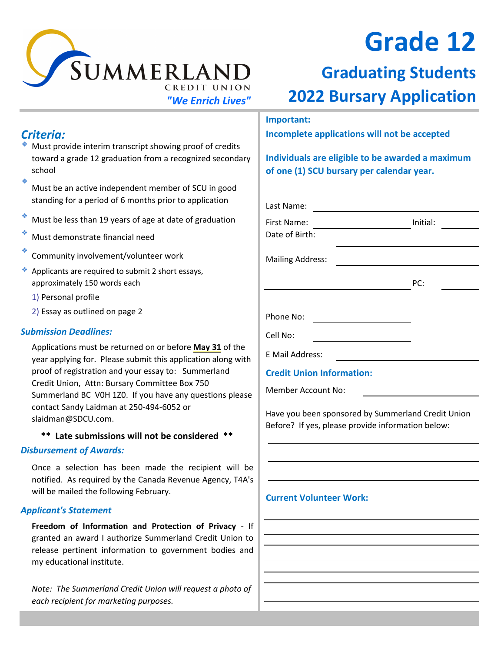

### *Criteria:*

- ٠ Must provide interim transcript showing proof of credits toward a grade 12 graduation from a recognized secondary school
- ٠ Must be an active independent member of SCU in good standing for a period of 6 months prior to application
- ٠ Must be less than 19 years of age at date of graduation
- ٠ Must demonstrate financial need
- ٠ Community involvement/volunteer work
- ٠ Applicants are required to submit 2 short essays, approximately 150 words each
	- 1) Personal profile
	- 2) Essay as outlined on page 2

#### *Submission Deadlines:*

Applications must be returned on or before **May 31** of the year applying for. Please submit this application along with proof of registration and your essay to: Summerland Credit Union, Attn: Bursary Committee Box 750 Summerland BC V0H 1Z0. If you have any questions please contact Sandy Laidman at 250-494-6052 or slaidman@SDCU.com.

#### **\*\* Late submissions will not be considered \*\***

#### *Disbursement of Awards:*

Once a selection has been made the recipient will be notified. As required by the Canada Revenue Agency, T4A's will be mailed the following February.

#### *Applicant's Statement*

**Freedom of Information and Protection of Privacy** - If granted an award I authorize Summerland Credit Union to release pertinent information to government bodies and my educational institute.

*Note: The Summerland Credit Union will request a photo of each recipient for marketing purposes.*

# **Grade 12**

## **Graduating Students** *"We Enrich Lives"* **2022 Bursary Application**

#### **Important:**

**Incomplete applications will not be accepted**

**Individuals are eligible to be awarded a maximum of one (1) SCU bursary per calendar year.**

| Last Name:                       |          |  |
|----------------------------------|----------|--|
| First Name:<br>Date of Birth:    | Initial: |  |
|                                  |          |  |
| <b>Mailing Address:</b>          |          |  |
|                                  | PC:      |  |
|                                  |          |  |
| Phone No:                        |          |  |
| Cell No:                         |          |  |
| E Mail Address:                  |          |  |
| <b>Credit Union Information:</b> |          |  |

Member Account No:

Have you been sponsored by Summerland Credit Union Before? If yes, please provide information below:

#### **Current Volunteer Work:**